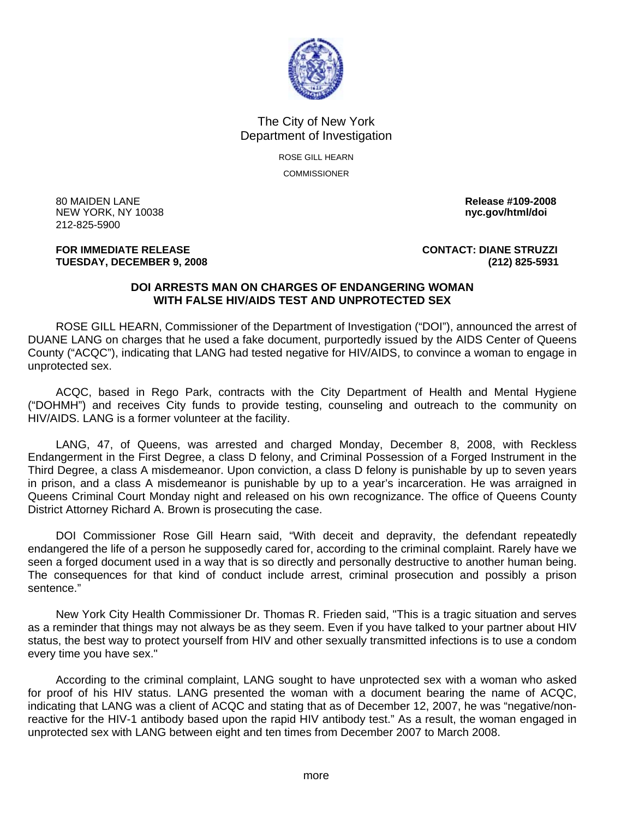

## The City of New York Department of Investigation

ROSE GILL HEARN COMMISSIONER

80 MAIDEN LANE **Release #109-2008 NEW YORK, NY 10038** 212-825-5900

## **TUESDAY, DECEMBER 9, 2008 (212) 825-5931**

**FOR IMMEDIATE RELEASE CONTACT: DIANE STRUZZI** 

## **DOI ARRESTS MAN ON CHARGES OF ENDANGERING WOMAN WITH FALSE HIV/AIDS TEST AND UNPROTECTED SEX**

 ROSE GILL HEARN, Commissioner of the Department of Investigation ("DOI"), announced the arrest of DUANE LANG on charges that he used a fake document, purportedly issued by the AIDS Center of Queens County ("ACQC"), indicating that LANG had tested negative for HIV/AIDS, to convince a woman to engage in unprotected sex.

 ACQC, based in Rego Park, contracts with the City Department of Health and Mental Hygiene ("DOHMH") and receives City funds to provide testing, counseling and outreach to the community on HIV/AIDS. LANG is a former volunteer at the facility.

 LANG, 47, of Queens, was arrested and charged Monday, December 8, 2008, with Reckless Endangerment in the First Degree, a class D felony, and Criminal Possession of a Forged Instrument in the Third Degree, a class A misdemeanor. Upon conviction, a class D felony is punishable by up to seven years in prison, and a class A misdemeanor is punishable by up to a year's incarceration. He was arraigned in Queens Criminal Court Monday night and released on his own recognizance. The office of Queens County District Attorney Richard A. Brown is prosecuting the case.

 DOI Commissioner Rose Gill Hearn said, "With deceit and depravity, the defendant repeatedly endangered the life of a person he supposedly cared for, according to the criminal complaint. Rarely have we seen a forged document used in a way that is so directly and personally destructive to another human being. The consequences for that kind of conduct include arrest, criminal prosecution and possibly a prison sentence."

 New York City Health Commissioner Dr. Thomas R. Frieden said, "This is a tragic situation and serves as a reminder that things may not always be as they seem. Even if you have talked to your partner about HIV status, the best way to protect yourself from HIV and other sexually transmitted infections is to use a condom every time you have sex."

 According to the criminal complaint, LANG sought to have unprotected sex with a woman who asked for proof of his HIV status. LANG presented the woman with a document bearing the name of ACQC, indicating that LANG was a client of ACQC and stating that as of December 12, 2007, he was "negative/nonreactive for the HIV-1 antibody based upon the rapid HIV antibody test." As a result, the woman engaged in unprotected sex with LANG between eight and ten times from December 2007 to March 2008.